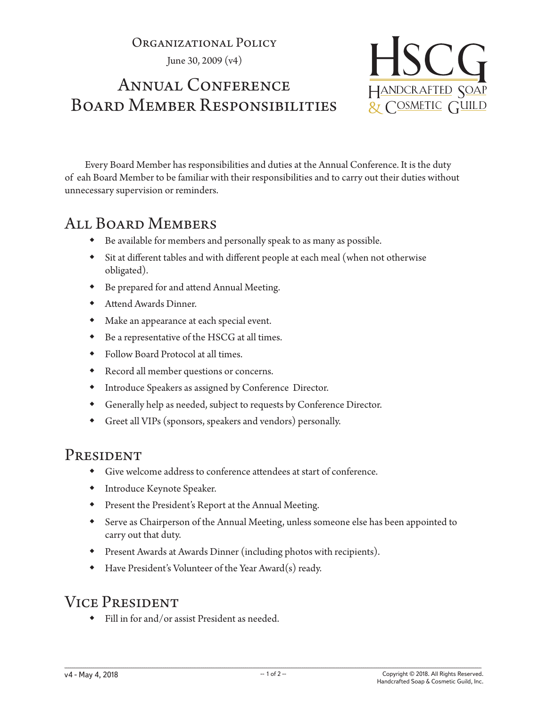Organizational Policy

June 30, 2009 (v4)

# ANNUAL CONFERENCE Board Member Responsibilities



Every Board Member has responsibilities and duties at the Annual Conference. It is the duty of eah Board Member to be familiar with their responsibilities and to carry out their duties without unnecessary supervision or reminders.

## All Board Members

- Be available for members and personally speak to as many as possible.
- Sit at different tables and with different people at each meal (when not otherwise obligated).
- Be prepared for and attend Annual Meeting.
- Attend Awards Dinner.
- Make an appearance at each special event.
- Be a representative of the HSCG at all times.
- Follow Board Protocol at all times.
- Record all member questions or concerns.
- Introduce Speakers as assigned by Conference Director.
- Generally help as needed, subject to requests by Conference Director.
- Greet all VIPs (sponsors, speakers and vendors) personally.

#### **PRESIDENT**

- Give welcome address to conference attendees at start of conference.
- Introduce Keynote Speaker.
- Present the President's Report at the Annual Meeting.
- Serve as Chairperson of the Annual Meeting, unless someone else has been appointed to carry out that duty.
- Present Awards at Awards Dinner (including photos with recipients).
- Have President's Volunteer of the Year Award(s) ready.

## Vice President

Fill in for and/or assist President as needed.